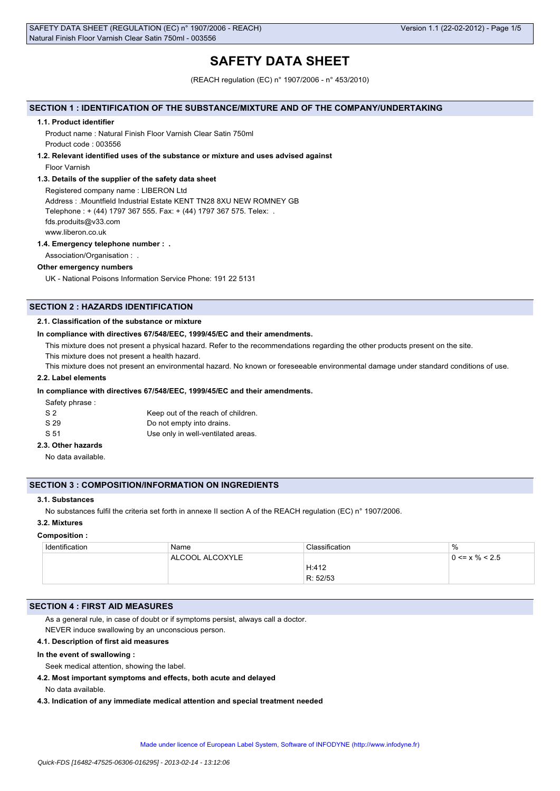# **SAFETY DATA SHEET**

(REACH regulation (EC) n° 1907/2006 - n° 453/2010)

# **SECTION 1 : IDENTIFICATION OF THE SUBSTANCE/MIXTURE AND OF THE COMPANY/UNDERTAKING**

#### **1.1. Product identifier**

Product name : Natural Finish Floor Varnish Clear Satin 750ml Product code : 003556

**1.2. Relevant identified uses of the substance or mixture and uses advised against**

Floor Varnish

### **1.3. Details of the supplier of the safety data sheet**

Registered company name : LIBERON Ltd Address : .Mountfield Industrial Estate KENT TN28 8XU NEW ROMNEY GB Telephone : + (44) 1797 367 555. Fax: + (44) 1797 367 575. Telex: . fds.produits@v33.com www.liberon.co.uk

### **1.4. Emergency telephone number : .**

Association/Organisation : .

# **Other emergency numbers**

UK - National Poisons Information Service Phone: 191 22 5131

# **SECTION 2 : HAZARDS IDENTIFICATION**

# **2.1. Classification of the substance or mixture**

### **In compliance with directives 67/548/EEC, 1999/45/EC and their amendments.**

This mixture does not present a physical hazard. Refer to the recommendations regarding the other products present on the site.

This mixture does not present a health hazard.

This mixture does not present an environmental hazard. No known or foreseeable environmental damage under standard conditions of use.

# **2.2. Label elements**

# **In compliance with directives 67/548/EEC, 1999/45/EC and their amendments.**

Safety phrase :

| S <sub>2</sub> | Keep out of the reach of children. |
|----------------|------------------------------------|
| S 29           | Do not empty into drains.          |
| S 51           | Use only in well-ventilated areas. |

# **2.3. Other hazards**

No data available.

# **SECTION 3 : COMPOSITION/INFORMATION ON INGREDIENTS**

# **3.1. Substances**

No substances fulfil the criteria set forth in annexe II section A of the REACH regulation (EC) n° 1907/2006.

# **3.2. Mixtures**

# **Composition :**

| Identification | Name            | Classification | $\%$                 |
|----------------|-----------------|----------------|----------------------|
|                | ALCOOL ALCOXYLE |                | $0 \le x \% \le 2.5$ |
|                |                 | H:412          |                      |
|                |                 | R: 52/53       |                      |

# **SECTION 4 : FIRST AID MEASURES**

As a general rule, in case of doubt or if symptoms persist, always call a doctor. NEVER induce swallowing by an unconscious person.

# **4.1. Description of first aid measures**

### **In the event of swallowing :**

Seek medical attention, showing the label.

**4.2. Most important symptoms and effects, both acute and delayed**

No data available.

**4.3. Indication of any immediate medical attention and special treatment needed**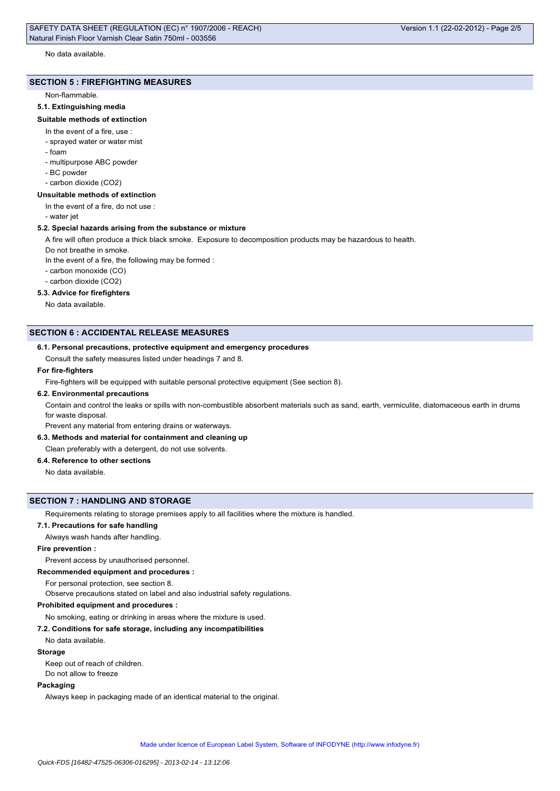## No data available.

#### **SECTION 5 : FIREFIGHTING MEASURES**

#### Non-flammable.

# **5.1. Extinguishing media**

#### **Suitable methods of extinction**

- In the event of a fire, use :
- sprayed water or water mist
- foam
- multipurpose ABC powder
- BC powder
- carbon dioxide (CO2)

#### **Unsuitable methods of extinction**

In the event of a fire, do not use :

- water jet

#### **5.2. Special hazards arising from the substance or mixture**

A fire will often produce a thick black smoke. Exposure to decomposition products may be hazardous to health.

Do not breathe in smoke.

In the event of a fire, the following may be formed :

- carbon monoxide (CO)
- carbon dioxide (CO2)

# **5.3. Advice for firefighters**

No data available.

# **SECTION 6 : ACCIDENTAL RELEASE MEASURES**

#### **6.1. Personal precautions, protective equipment and emergency procedures**

Consult the safety measures listed under headings 7 and 8.

# **For fire-fighters**

Fire-fighters will be equipped with suitable personal protective equipment (See section 8).

### **6.2. Environmental precautions**

Contain and control the leaks or spills with non-combustible absorbent materials such as sand, earth, vermiculite, diatomaceous earth in drums for waste disposal.

Prevent any material from entering drains or waterways.

# **6.3. Methods and material for containment and cleaning up**

Clean preferably with a detergent, do not use solvents.

# **6.4. Reference to other sections**

No data available.

### **SECTION 7 : HANDLING AND STORAGE**

Requirements relating to storage premises apply to all facilities where the mixture is handled.

**7.1. Precautions for safe handling**

Always wash hands after handling.

# **Fire prevention :**

Prevent access by unauthorised personnel.

**Recommended equipment and procedures :**

For personal protection, see section 8.

Observe precautions stated on label and also industrial safety regulations.

#### **Prohibited equipment and procedures :**

No smoking, eating or drinking in areas where the mixture is used.

### **7.2. Conditions for safe storage, including any incompatibilities**

# No data available.

# **Storage**

Keep out of reach of children.

Do not allow to freeze

# **Packaging**

Always keep in packaging made of an identical material to the original.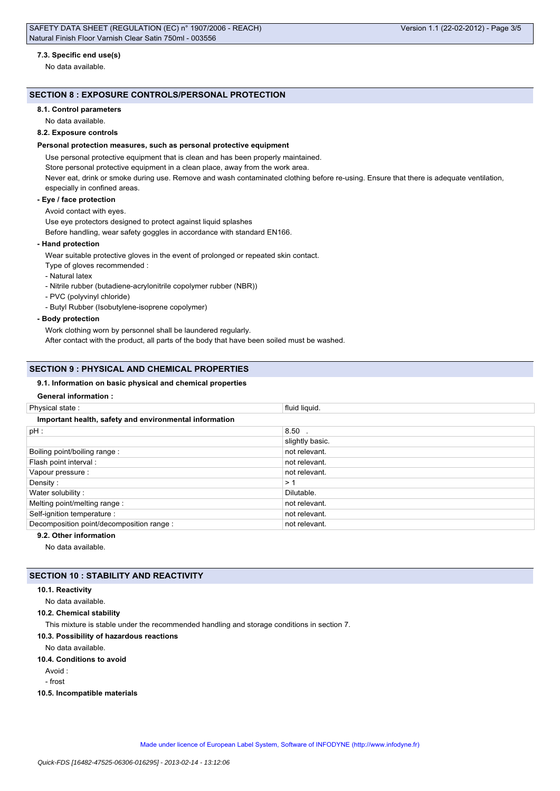# **7.3. Specific end use(s)**

No data available.

# **SECTION 8 : EXPOSURE CONTROLS/PERSONAL PROTECTION**

### **8.1. Control parameters**

No data available.

# **8.2. Exposure controls**

# **Personal protection measures, such as personal protective equipment**

Use personal protective equipment that is clean and has been properly maintained.

Store personal protective equipment in a clean place, away from the work area.

Never eat, drink or smoke during use. Remove and wash contaminated clothing before re-using. Ensure that there is adequate ventilation, especially in confined areas.

#### **- Eye / face protection**

## Avoid contact with eyes.

Use eye protectors designed to protect against liquid splashes

Before handling, wear safety goggles in accordance with standard EN166.

# **- Hand protection**

Wear suitable protective gloves in the event of prolonged or repeated skin contact.

- Type of gloves recommended :
- Natural latex
- Nitrile rubber (butadiene-acrylonitrile copolymer rubber (NBR))
- PVC (polyvinyl chloride)
- Butyl Rubber (Isobutylene-isoprene copolymer)
- **Body protection**

Work clothing worn by personnel shall be laundered regularly.

After contact with the product, all parts of the body that have been soiled must be washed.

### **SECTION 9 : PHYSICAL AND CHEMICAL PROPERTIES**

# **9.1. Information on basic physical and chemical properties**

# **General information :**

| Physical state:                                        | fluid liquid.   |  |
|--------------------------------------------------------|-----------------|--|
| Important health, safety and environmental information |                 |  |
| pH :                                                   | $8.50$ .        |  |
|                                                        | slightly basic. |  |
| Boiling point/boiling range:                           | not relevant.   |  |
| Flash point interval:                                  | not relevant.   |  |
| Vapour pressure :                                      | not relevant.   |  |
| Density:                                               | >1              |  |
| Water solubility:                                      | Dilutable.      |  |
| Melting point/melting range:                           | not relevant.   |  |
| Self-ignition temperature :                            | not relevant.   |  |
| Decomposition point/decomposition range :              | not relevant.   |  |
|                                                        |                 |  |

# **9.2. Other information**

No data available.

# **SECTION 10 : STABILITY AND REACTIVITY**

### **10.1. Reactivity**

No data available.

**10.2. Chemical stability**

This mixture is stable under the recommended handling and storage conditions in section 7.

# **10.3. Possibility of hazardous reactions**

No data available.

#### **10.4. Conditions to avoid**

Avoid :

- frost

**10.5. Incompatible materials**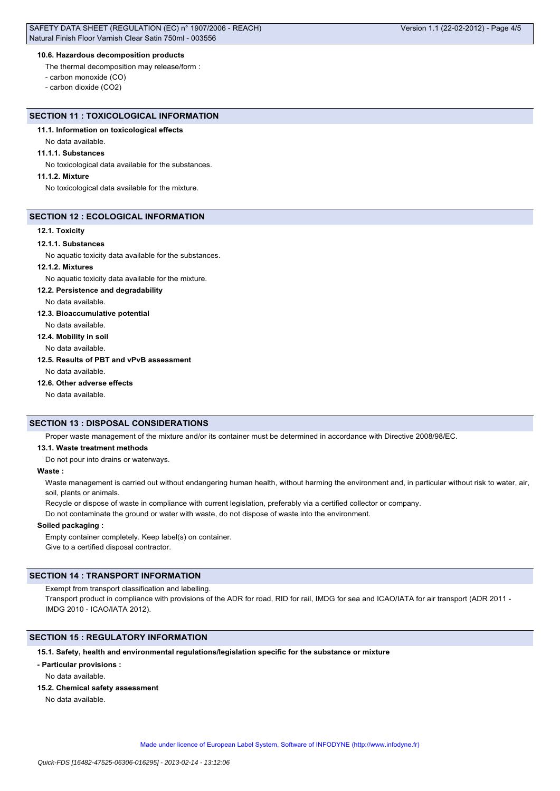# **10.6. Hazardous decomposition products**

The thermal decomposition may release/form :

- carbon monoxide (CO)

- carbon dioxide (CO2)

# **SECTION 11 : TOXICOLOGICAL INFORMATION**

# **11.1. Information on toxicological effects**

No data available.

#### **11.1.1. Substances**

No toxicological data available for the substances.

# **11.1.2. Mixture**

No toxicological data available for the mixture.

### **SECTION 12 : ECOLOGICAL INFORMATION**

#### **12.1. Toxicity**

#### **12.1.1. Substances**

No aquatic toxicity data available for the substances.

# **12.1.2. Mixtures**

No aquatic toxicity data available for the mixture.

#### **12.2. Persistence and degradability**

No data available.

# **12.3. Bioaccumulative potential**

No data available.

# **12.4. Mobility in soil**

No data available.

# **12.5. Results of PBT and vPvB assessment**

No data available.

# **12.6. Other adverse effects**

No data available.

# **SECTION 13 : DISPOSAL CONSIDERATIONS**

Proper waste management of the mixture and/or its container must be determined in accordance with Directive 2008/98/EC.

#### **13.1. Waste treatment methods**

Do not pour into drains or waterways.

# **Waste :**

Waste management is carried out without endangering human health, without harming the environment and, in particular without risk to water, air, soil, plants or animals.

Recycle or dispose of waste in compliance with current legislation, preferably via a certified collector or company.

Do not contaminate the ground or water with waste, do not dispose of waste into the environment.

### **Soiled packaging :**

Empty container completely. Keep label(s) on container. Give to a certified disposal contractor.

# **SECTION 14 : TRANSPORT INFORMATION**

Exempt from transport classification and labelling.

Transport product in compliance with provisions of the ADR for road, RID for rail, IMDG for sea and ICAO/IATA for air transport (ADR 2011 -IMDG 2010 - ICAO/IATA 2012).

# **SECTION 15 : REGULATORY INFORMATION**

# **15.1. Safety, health and environmental regulations/legislation specific for the substance or mixture**

# **- Particular provisions :**

No data available.

# **15.2. Chemical safety assessment**

No data available.